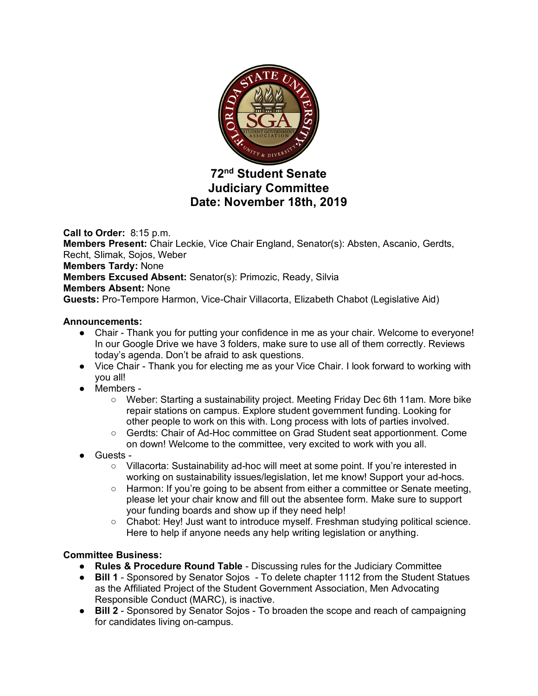

# **72nd Student Senate Judiciary Committee Date: November 18th, 2019**

**Call to Order:** 8:15 p.m. **Members Present:** Chair Leckie, Vice Chair England, Senator(s): Absten, Ascanio, Gerdts, Recht, Slimak, Sojos, Weber **Members Tardy:** None **Members Excused Absent:** Senator(s): Primozic, Ready, Silvia **Members Absent:** None **Guests:** Pro-Tempore Harmon, Vice-Chair Villacorta, Elizabeth Chabot (Legislative Aid)

# **Announcements:**

- Chair Thank you for putting your confidence in me as your chair. Welcome to everyone! In our Google Drive we have 3 folders, make sure to use all of them correctly. Reviews today's agenda. Don't be afraid to ask questions.
- Vice Chair Thank you for electing me as your Vice Chair. I look forward to working with you all!
- Members
	- Weber: Starting a sustainability project. Meeting Friday Dec 6th 11am. More bike repair stations on campus. Explore student government funding. Looking for other people to work on this with. Long process with lots of parties involved.
	- Gerdts: Chair of Ad-Hoc committee on Grad Student seat apportionment. Come on down! Welcome to the committee, very excited to work with you all.
- Guests
	- Villacorta: Sustainability ad-hoc will meet at some point. If you're interested in working on sustainability issues/legislation, let me know! Support your ad-hocs.
	- Harmon: If you're going to be absent from either a committee or Senate meeting, please let your chair know and fill out the absentee form. Make sure to support your funding boards and show up if they need help!
	- Chabot: Hey! Just want to introduce myself. Freshman studying political science. Here to help if anyone needs any help writing legislation or anything.

# **Committee Business:**

- **Rules & Procedure Round Table**  Discussing rules for the Judiciary Committee
- **Bill 1** Sponsored by Senator Sojos To delete chapter 1112 from the Student Statues as the Affiliated Project of the Student Government Association, Men Advocating Responsible Conduct (MARC), is inactive.
- **Bill 2** Sponsored by Senator Sojos To broaden the scope and reach of campaigning for candidates living on-campus.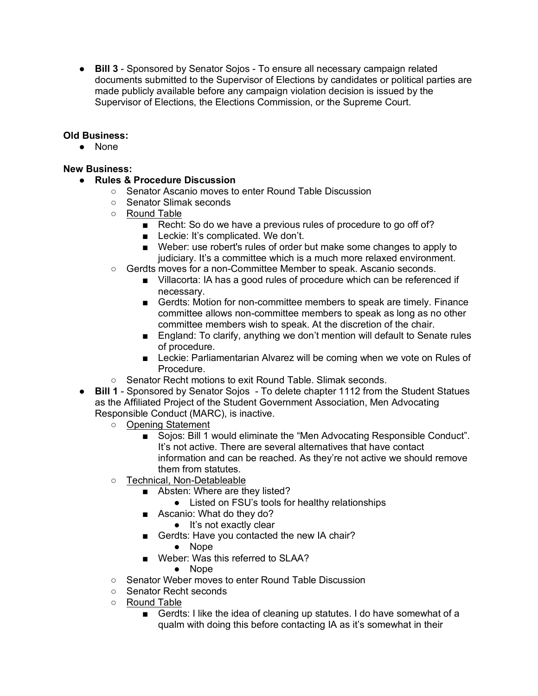● **Bill 3** - Sponsored by Senator Sojos - To ensure all necessary campaign related documents submitted to the Supervisor of Elections by candidates or political parties are made publicly available before any campaign violation decision is issued by the Supervisor of Elections, the Elections Commission, or the Supreme Court.

## **Old Business:**

● None

### **New Business:**

- **Rules & Procedure Discussion**
	- Senator Ascanio moves to enter Round Table Discussion
	- Senator Slimak seconds
	- Round Table
		- Recht: So do we have a previous rules of procedure to go off of?
		- Leckie: It's complicated. We don't.
		- Weber: use robert's rules of order but make some changes to apply to judiciary. It's a committee which is a much more relaxed environment.
	- Gerdts moves for a non-Committee Member to speak. Ascanio seconds.
		- Villacorta: IA has a good rules of procedure which can be referenced if necessary.
		- Gerdts: Motion for non-committee members to speak are timely. Finance committee allows non-committee members to speak as long as no other committee members wish to speak. At the discretion of the chair.
		- England: To clarify, anything we don't mention will default to Senate rules of procedure.
		- Leckie: Parliamentarian Alvarez will be coming when we vote on Rules of Procedure.
	- Senator Recht motions to exit Round Table. Slimak seconds.
- **Bill 1** Sponsored by Senator Sojos To delete chapter 1112 from the Student Statues as the Affiliated Project of the Student Government Association, Men Advocating Responsible Conduct (MARC), is inactive.
	- Opening Statement
		- Sojos: Bill 1 would eliminate the "Men Advocating Responsible Conduct". It's not active. There are several alternatives that have contact information and can be reached. As they're not active we should remove them from statutes.
	- Technical, Non-Detableable
		- Absten: Where are they listed?
			- Listed on FSU's tools for healthy relationships
		- Ascanio: What do they do?
			- It's not exactly clear
		- Gerdts: Have you contacted the new IA chair?
			- Nope
		- Weber: Was this referred to SLAA?
			- Nope
	- Senator Weber moves to enter Round Table Discussion
	- Senator Recht seconds
	- o Round Table
		- Gerdts: I like the idea of cleaning up statutes. I do have somewhat of a qualm with doing this before contacting IA as it's somewhat in their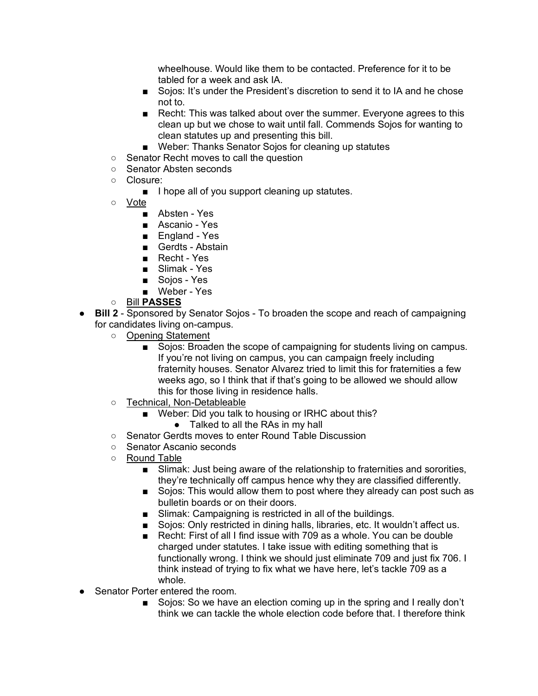wheelhouse. Would like them to be contacted. Preference for it to be tabled for a week and ask IA.

- Sojos: It's under the President's discretion to send it to IA and he chose not to.
- Recht: This was talked about over the summer. Everyone agrees to this clean up but we chose to wait until fall. Commends Sojos for wanting to clean statutes up and presenting this bill.
- Weber: Thanks Senator Sojos for cleaning up statutes
- Senator Recht moves to call the question
- Senator Absten seconds
- Closure:
	- I hope all of you support cleaning up statutes.
- Vote
	- Absten Yes
	- Ascanio Yes
	- England Yes
	- Gerdts Abstain
	- Recht Yes
	- Slimak Yes
	- Sojos Yes
	- Weber Yes
- Bill **PASSES**
- **Bill 2** Sponsored by Senator Sojos To broaden the scope and reach of campaigning for candidates living on-campus.
	- Opening Statement
		- Sojos: Broaden the scope of campaigning for students living on campus. If you're not living on campus, you can campaign freely including fraternity houses. Senator Alvarez tried to limit this for fraternities a few weeks ago, so I think that if that's going to be allowed we should allow this for those living in residence halls.
	- Technical, Non-Detableable
		- Weber: Did you talk to housing or IRHC about this?
			- Talked to all the RAs in my hall
	- Senator Gerdts moves to enter Round Table Discussion
	- Senator Ascanio seconds
	- Round Table
		- Slimak: Just being aware of the relationship to fraternities and sororities, they're technically off campus hence why they are classified differently.
		- Sojos: This would allow them to post where they already can post such as bulletin boards or on their doors.
		- Slimak: Campaigning is restricted in all of the buildings.
		- Sojos: Only restricted in dining halls, libraries, etc. It wouldn't affect us.
		- Recht: First of all I find issue with 709 as a whole. You can be double charged under statutes. I take issue with editing something that is functionally wrong. I think we should just eliminate 709 and just fix 706. I think instead of trying to fix what we have here, let's tackle 709 as a whole.
- Senator Porter entered the room.
	- Sojos: So we have an election coming up in the spring and I really don't think we can tackle the whole election code before that. I therefore think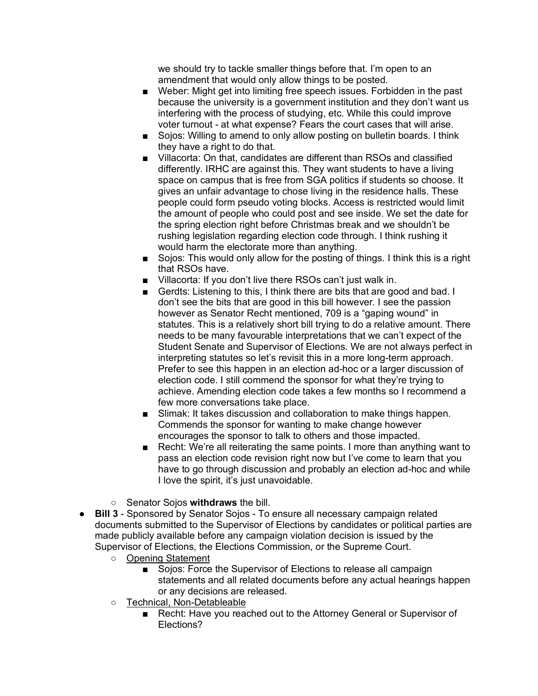we should try to tackle smaller things before that. I'm open to an amendment that would only allow things to be posted.

- Weber: Might get into limiting free speech issues. Forbidden in the past because the university is a government institution and they don't want us interfering with the process of studying, etc. While this could improve voter turnout - at what expense? Fears the court cases that will arise.
- Sojos: Willing to amend to only allow posting on bulletin boards. I think they have a right to do that.
- Villacorta: On that, candidates are different than RSOs and classified differently. IRHC are against this. They want students to have a living space on campus that is free from SGA politics if students so choose. It gives an unfair advantage to chose living in the residence halls. These people could form pseudo voting blocks. Access is restricted would limit the amount of people who could post and see inside. We set the date for the spring election right before Christmas break and we shouldn't be rushing legislation regarding election code through. I think rushing it would harm the electorate more than anything.
- Sojos: This would only allow for the posting of things. I think this is a right that RSOs have.
- Villacorta: If you don't live there RSOs can't just walk in.
- Gerdts: Listening to this, I think there are bits that are good and bad. I don't see the bits that are good in this bill however. I see the passion however as Senator Recht mentioned, 709 is a "gaping wound" in statutes. This is a relatively short bill trying to do a relative amount. There needs to be many favourable interpretations that we can't expect of the Student Senate and Supervisor of Elections. We are not always perfect in interpreting statutes so let's revisit this in a more long-term approach. Prefer to see this happen in an election ad-hoc or a larger discussion of election code. I still commend the sponsor for what they're trying to achieve. Amending election code takes a few months so I recommend a few more conversations take place.
- Slimak: It takes discussion and collaboration to make things happen. Commends the sponsor for wanting to make change however encourages the sponsor to talk to others and those impacted.
- Recht: We're all reiterating the same points. I more than anything want to pass an election code revision right now but I've come to learn that you have to go through discussion and probably an election ad-hoc and while I love the spirit, it's just unavoidable.
- Senator Sojos **withdraws** the bill.
- **Bill 3** Sponsored by Senator Sojos To ensure all necessary campaign related documents submitted to the Supervisor of Elections by candidates or political parties are made publicly available before any campaign violation decision is issued by the Supervisor of Elections, the Elections Commission, or the Supreme Court.
	- Opening Statement
		- Sojos: Force the Supervisor of Elections to release all campaign statements and all related documents before any actual hearings happen or any decisions are released.
	- Technical, Non-Detableable
		- Recht: Have you reached out to the Attorney General or Supervisor of Elections?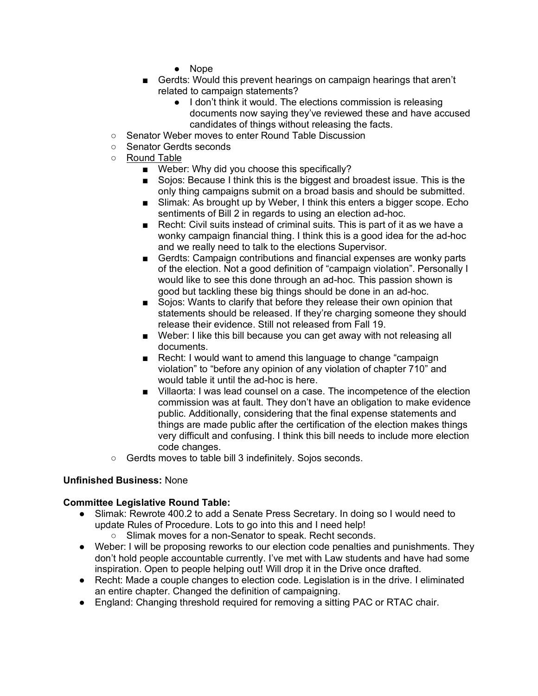- Nope
- Gerdts: Would this prevent hearings on campaign hearings that aren't related to campaign statements?
	- I don't think it would. The elections commission is releasing documents now saying they've reviewed these and have accused candidates of things without releasing the facts.
- Senator Weber moves to enter Round Table Discussion
- Senator Gerdts seconds
- Round Table
	- Weber: Why did you choose this specifically?
	- Sojos: Because I think this is the biggest and broadest issue. This is the only thing campaigns submit on a broad basis and should be submitted.
	- Slimak: As brought up by Weber, I think this enters a bigger scope. Echo sentiments of Bill 2 in regards to using an election ad-hoc.
	- Recht: Civil suits instead of criminal suits. This is part of it as we have a wonky campaign financial thing. I think this is a good idea for the ad-hoc and we really need to talk to the elections Supervisor.
	- Gerdts: Campaign contributions and financial expenses are wonky parts of the election. Not a good definition of "campaign violation". Personally I would like to see this done through an ad-hoc. This passion shown is good but tackling these big things should be done in an ad-hoc.
	- Sojos: Wants to clarify that before they release their own opinion that statements should be released. If they're charging someone they should release their evidence. Still not released from Fall 19.
	- Weber: I like this bill because you can get away with not releasing all documents.
	- Recht: I would want to amend this language to change "campaign violation" to "before any opinion of any violation of chapter 710" and would table it until the ad-hoc is here.
	- Villaorta: I was lead counsel on a case. The incompetence of the election commission was at fault. They don't have an obligation to make evidence public. Additionally, considering that the final expense statements and things are made public after the certification of the election makes things very difficult and confusing. I think this bill needs to include more election code changes.
- Gerdts moves to table bill 3 indefinitely. Sojos seconds.

#### **Unfinished Business:** None

#### **Committee Legislative Round Table:**

- Slimak: Rewrote 400.2 to add a Senate Press Secretary. In doing so I would need to update Rules of Procedure. Lots to go into this and I need help!
	- Slimak moves for a non-Senator to speak. Recht seconds.
- Weber: I will be proposing reworks to our election code penalties and punishments. They don't hold people accountable currently. I've met with Law students and have had some inspiration. Open to people helping out! Will drop it in the Drive once drafted.
- Recht: Made a couple changes to election code. Legislation is in the drive. I eliminated an entire chapter. Changed the definition of campaigning.
- England: Changing threshold required for removing a sitting PAC or RTAC chair.